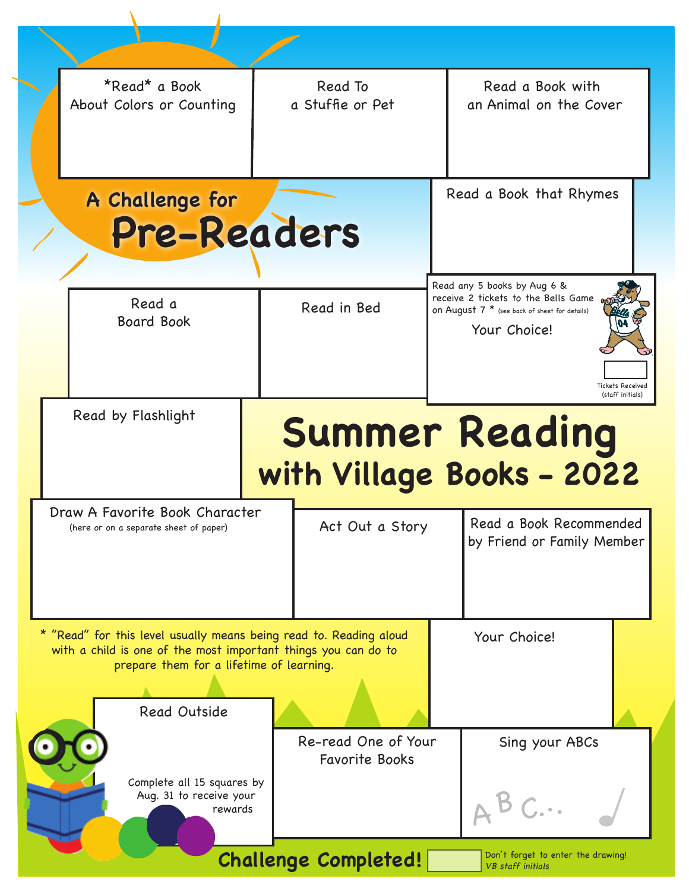